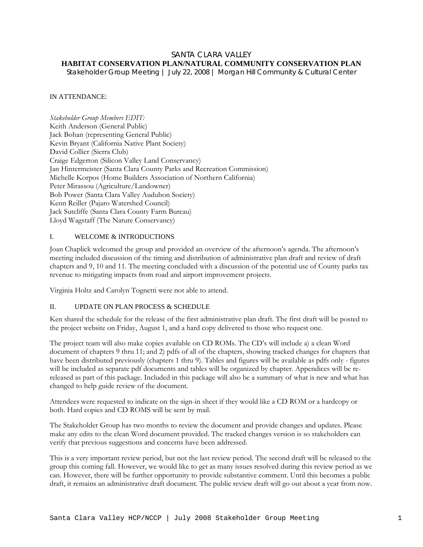## SANTA CLARA VALLEY **HABITAT CONSERVATION PLAN/NATURAL COMMUNITY CONSERVATION PLAN**

*Stakeholder Group Meeting | July 22, 2008 | Morgan Hill Community & Cultural Center* 

## IN ATTENDANCE:

*Stakeholder Group Members EDIT:*  Keith Anderson (General Public) Jack Bohan (representing General Public) Kevin Bryant (California Native Plant Society) David Collier (Sierra Club) Craige Edgerton (Silicon Valley Land Conservancy) Jan Hintermeister (Santa Clara County Parks and Recreation Commission) Michelle Korpos (Home Builders Association of Northern California) Peter Mirassou (Agriculture/Landowner) Bob Power (Santa Clara Valley Audubon Society) Kenn Reiller (Pajaro Watershed Council) Jack Sutcliffe (Santa Clara County Farm Bureau) Lloyd Wagstaff (The Nature Conservancy)

# I. WELCOME & INTRODUCTIONS

Joan Chaplick welcomed the group and provided an overview of the afternoon's agenda. The afternoon's meeting included discussion of the timing and distribution of administrative plan draft and review of draft chapters and 9, 10 and 11. The meeting concluded with a discussion of the potential use of County parks tax revenue to mitigating impacts from road and airport improvement projects.

Virginia Holtz and Carolyn Tognetti were not able to attend.

#### II. UPDATE ON PLAN PROCESS & SCHEDULE

Ken shared the schedule for the release of the first administrative plan draft. The first draft will be posted to the project website on Friday, August 1, and a hard copy delivered to those who request one.

The project team will also make copies available on CD ROMs. The CD's will include a) a clean Word document of chapters 9 thru 11; and 2) pdfs of all of the chapters, showing tracked changes for chapters that have been distributed previously (chapters 1 thru 9). Tables and figures will be available as pdfs only - figures will be included as separate pdf documents and tables will be organized by chapter. Appendices will be rereleased as part of this package. Included in this package will also be a summary of what is new and what has changed to help guide review of the document.

Attendees were requested to indicate on the sign-in sheet if they would like a CD ROM or a hardcopy or both. Hard copies and CD ROMS will be sent by mail.

The Stakeholder Group has two months to review the document and provide changes and updates. Please make any edits to the clean Word document provided. The tracked changes version is so stakeholders can verify that previous suggestions and concerns have been addressed.

This is a very important review period, but not the last review period. The second draft will be released to the group this coming fall. However, we would like to get as many issues resolved during this review period as we can. However, there will be further opportunity to provide substantive comment. Until this becomes a public draft, it remains an administrative draft document. The public review draft will go out about a year from now.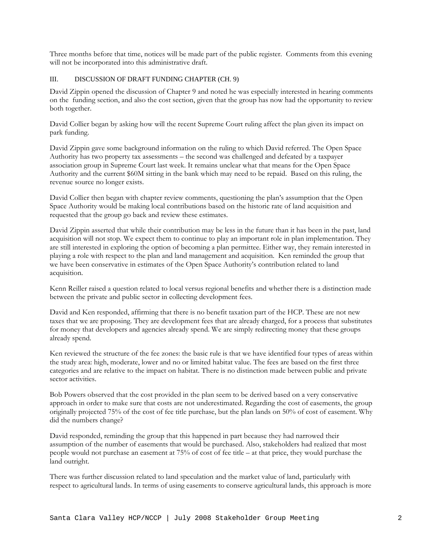Three months before that time, notices will be made part of the public register. Comments from this evening will not be incorporated into this administrative draft.

# III. DISCUSSION OF DRAFT FUNDING CHAPTER (CH. 9)

David Zippin opened the discussion of Chapter 9 and noted he was especially interested in hearing comments on the funding section, and also the cost section, given that the group has now had the opportunity to review both together.

David Collier began by asking how will the recent Supreme Court ruling affect the plan given its impact on park funding.

David Zippin gave some background information on the ruling to which David referred. The Open Space Authority has two property tax assessments – the second was challenged and defeated by a taxpayer association group in Supreme Court last week. It remains unclear what that means for the Open Space Authority and the current \$60M sitting in the bank which may need to be repaid. Based on this ruling, the revenue source no longer exists.

David Collier then began with chapter review comments, questioning the plan's assumption that the Open Space Authority would be making local contributions based on the historic rate of land acquisition and requested that the group go back and review these estimates.

David Zippin asserted that while their contribution may be less in the future than it has been in the past, land acquisition will not stop. We expect them to continue to play an important role in plan implementation. They are still interested in exploring the option of becoming a plan permittee. Either way, they remain interested in playing a role with respect to the plan and land management and acquisition. Ken reminded the group that we have been conservative in estimates of the Open Space Authority's contribution related to land acquisition.

Kenn Reiller raised a question related to local versus regional benefits and whether there is a distinction made between the private and public sector in collecting development fees.

David and Ken responded, affirming that there is no benefit taxation part of the HCP. These are not new taxes that we are proposing. They are development fees that are already charged, for a process that substitutes for money that developers and agencies already spend. We are simply redirecting money that these groups already spend.

Ken reviewed the structure of the fee zones: the basic rule is that we have identified four types of areas within the study area: high, moderate, lower and no or limited habitat value. The fees are based on the first three categories and are relative to the impact on habitat. There is no distinction made between public and private sector activities.

Bob Powers observed that the cost provided in the plan seem to be derived based on a very conservative approach in order to make sure that costs are not underestimated. Regarding the cost of easements, the group originally projected 75% of the cost of fee title purchase, but the plan lands on 50% of cost of easement. Why did the numbers change?

David responded, reminding the group that this happened in part because they had narrowed their assumption of the number of easements that would be purchased. Also, stakeholders had realized that most people would not purchase an easement at 75% of cost of fee title – at that price, they would purchase the land outright.

There was further discussion related to land speculation and the market value of land, particularly with respect to agricultural lands. In terms of using easements to conserve agricultural lands, this approach is more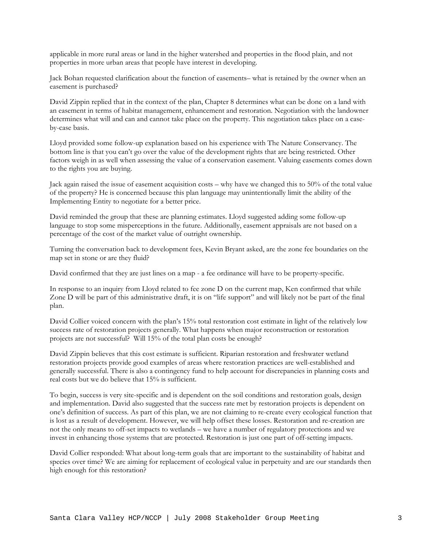applicable in more rural areas or land in the higher watershed and properties in the flood plain, and not properties in more urban areas that people have interest in developing.

Jack Bohan requested clarification about the function of easements– what is retained by the owner when an easement is purchased?

David Zippin replied that in the context of the plan, Chapter 8 determines what can be done on a land with an easement in terms of habitat management, enhancement and restoration. Negotiation with the landowner determines what will and can and cannot take place on the property. This negotiation takes place on a caseby-case basis.

Lloyd provided some follow-up explanation based on his experience with The Nature Conservancy. The bottom line is that you can't go over the value of the development rights that are being restricted. Other factors weigh in as well when assessing the value of a conservation easement. Valuing easements comes down to the rights you are buying.

Jack again raised the issue of easement acquisition costs – why have we changed this to 50% of the total value of the property? He is concerned because this plan language may unintentionally limit the ability of the Implementing Entity to negotiate for a better price.

David reminded the group that these are planning estimates. Lloyd suggested adding some follow-up language to stop some misperceptions in the future. Additionally, easement appraisals are not based on a percentage of the cost of the market value of outright ownership.

Turning the conversation back to development fees, Kevin Bryant asked, are the zone fee boundaries on the map set in stone or are they fluid?

David confirmed that they are just lines on a map - a fee ordinance will have to be property-specific.

In response to an inquiry from Lloyd related to fee zone D on the current map, Ken confirmed that while Zone D will be part of this administrative draft, it is on "life support" and will likely not be part of the final plan.

David Collier voiced concern with the plan's 15% total restoration cost estimate in light of the relatively low success rate of restoration projects generally. What happens when major reconstruction or restoration projects are not successful? Will 15% of the total plan costs be enough?

David Zippin believes that this cost estimate is sufficient. Riparian restoration and freshwater wetland restoration projects provide good examples of areas where restoration practices are well-established and generally successful. There is also a contingency fund to help account for discrepancies in planning costs and real costs but we do believe that 15% is sufficient.

To begin, success is very site-specific and is dependent on the soil conditions and restoration goals, design and implementation. David also suggested that the success rate met by restoration projects is dependent on one's definition of success. As part of this plan, we are not claiming to re-create every ecological function that is lost as a result of development. However, we will help offset these losses. Restoration and re-creation are not the only means to off-set impacts to wetlands – we have a number of regulatory protections and we invest in enhancing those systems that are protected. Restoration is just one part of off-setting impacts.

David Collier responded: What about long-term goals that are important to the sustainability of habitat and species over time? We are aiming for replacement of ecological value in perpetuity and are our standards then high enough for this restoration?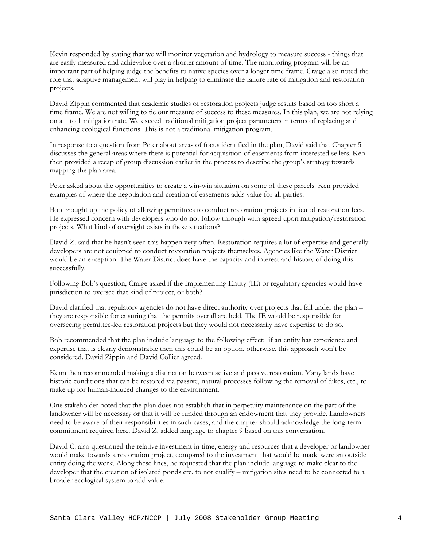Kevin responded by stating that we will monitor vegetation and hydrology to measure success - things that are easily measured and achievable over a shorter amount of time. The monitoring program will be an important part of helping judge the benefits to native species over a longer time frame. Craige also noted the role that adaptive management will play in helping to eliminate the failure rate of mitigation and restoration projects.

David Zippin commented that academic studies of restoration projects judge results based on too short a time frame. We are not willing to tie our measure of success to these measures. In this plan, we are not relying on a 1 to 1 mitigation rate. We exceed traditional mitigation project parameters in terms of replacing and enhancing ecological functions. This is not a traditional mitigation program.

In response to a question from Peter about areas of focus identified in the plan, David said that Chapter 5 discusses the general areas where there is potential for acquisition of easements from interested sellers. Ken then provided a recap of group discussion earlier in the process to describe the group's strategy towards mapping the plan area.

Peter asked about the opportunities to create a win-win situation on some of these parcels. Ken provided examples of where the negotiation and creation of easements adds value for all parties.

Bob brought up the policy of allowing permittees to conduct restoration projects in lieu of restoration fees. He expressed concern with developers who do not follow through with agreed upon mitigation/restoration projects. What kind of oversight exists in these situations?

David Z. said that he hasn't seen this happen very often. Restoration requires a lot of expertise and generally developers are not equipped to conduct restoration projects themselves. Agencies like the Water District would be an exception. The Water District does have the capacity and interest and history of doing this successfully.

Following Bob's question, Craige asked if the Implementing Entity (IE) or regulatory agencies would have jurisdiction to oversee that kind of project, or both?

David clarified that regulatory agencies do not have direct authority over projects that fall under the plan – they are responsible for ensuring that the permits overall are held. The IE would be responsible for overseeing permittee-led restoration projects but they would not necessarily have expertise to do so.

Bob recommended that the plan include language to the following effect: if an entity has experience and expertise that is clearly demonstrable then this could be an option, otherwise, this approach won't be considered. David Zippin and David Collier agreed.

Kenn then recommended making a distinction between active and passive restoration. Many lands have historic conditions that can be restored via passive, natural processes following the removal of dikes, etc., to make up for human-induced changes to the environment.

One stakeholder noted that the plan does not establish that in perpetuity maintenance on the part of the landowner will be necessary or that it will be funded through an endowment that they provide. Landowners need to be aware of their responsibilities in such cases, and the chapter should acknowledge the long-term commitment required here. David Z. added language to chapter 9 based on this conversation.

David C. also questioned the relative investment in time, energy and resources that a developer or landowner would make towards a restoration project, compared to the investment that would be made were an outside entity doing the work. Along these lines, he requested that the plan include language to make clear to the developer that the creation of isolated ponds etc. to not qualify – mitigation sites need to be connected to a broader ecological system to add value.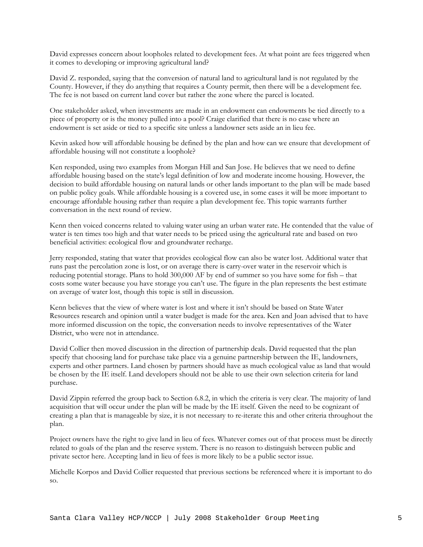David expresses concern about loopholes related to development fees. At what point are fees triggered when it comes to developing or improving agricultural land?

David Z. responded, saying that the conversion of natural land to agricultural land is not regulated by the County. However, if they do anything that requires a County permit, then there will be a development fee. The fee is not based on current land cover but rather the zone where the parcel is located.

One stakeholder asked, when investments are made in an endowment can endowments be tied directly to a piece of property or is the money pulled into a pool? Craige clarified that there is no case where an endowment is set aside or tied to a specific site unless a landowner sets aside an in lieu fee.

Kevin asked how will affordable housing be defined by the plan and how can we ensure that development of affordable housing will not constitute a loophole?

Ken responded, using two examples from Morgan Hill and San Jose. He believes that we need to define affordable housing based on the state's legal definition of low and moderate income housing. However, the decision to build affordable housing on natural lands or other lands important to the plan will be made based on public policy goals. While affordable housing is a covered use, in some cases it will be more important to encourage affordable housing rather than require a plan development fee. This topic warrants further conversation in the next round of review.

Kenn then voiced concerns related to valuing water using an urban water rate. He contended that the value of water is ten times too high and that water needs to be priced using the agricultural rate and based on two beneficial activities: ecological flow and groundwater recharge.

Jerry responded, stating that water that provides ecological flow can also be water lost. Additional water that runs past the percolation zone is lost, or on average there is carry-over water in the reservoir which is reducing potential storage. Plans to hold 300,000 AF by end of summer so you have some for fish – that costs some water because you have storage you can't use. The figure in the plan represents the best estimate on average of water lost, though this topic is still in discussion.

Kenn believes that the view of where water is lost and where it isn't should be based on State Water Resources research and opinion until a water budget is made for the area. Ken and Joan advised that to have more informed discussion on the topic, the conversation needs to involve representatives of the Water District, who were not in attendance.

David Collier then moved discussion in the direction of partnership deals. David requested that the plan specify that choosing land for purchase take place via a genuine partnership between the IE, landowners, experts and other partners. Land chosen by partners should have as much ecological value as land that would be chosen by the IE itself. Land developers should not be able to use their own selection criteria for land purchase.

David Zippin referred the group back to Section 6.8.2, in which the criteria is very clear. The majority of land acquisition that will occur under the plan will be made by the IE itself. Given the need to be cognizant of creating a plan that is manageable by size, it is not necessary to re-iterate this and other criteria throughout the plan.

Project owners have the right to give land in lieu of fees. Whatever comes out of that process must be directly related to goals of the plan and the reserve system. There is no reason to distinguish between public and private sector here. Accepting land in lieu of fees is more likely to be a public sector issue.

Michelle Korpos and David Collier requested that previous sections be referenced where it is important to do so.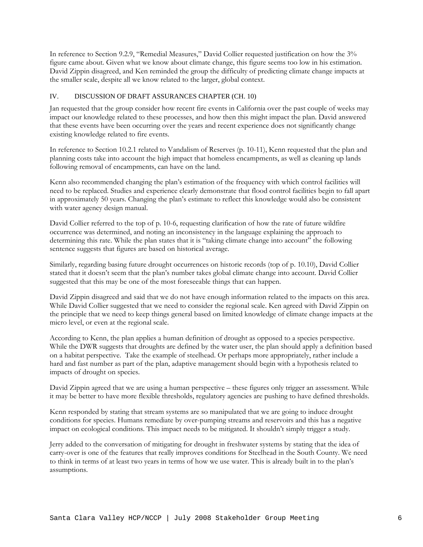In reference to Section 9.2.9, "Remedial Measures," David Collier requested justification on how the 3% figure came about. Given what we know about climate change, this figure seems too low in his estimation. David Zippin disagreed, and Ken reminded the group the difficulty of predicting climate change impacts at the smaller scale, despite all we know related to the larger, global context.

#### IV. DISCUSSION OF DRAFT ASSURANCES CHAPTER (CH. 10)

Jan requested that the group consider how recent fire events in California over the past couple of weeks may impact our knowledge related to these processes, and how then this might impact the plan. David answered that these events have been occurring over the years and recent experience does not significantly change existing knowledge related to fire events.

In reference to Section 10.2.1 related to Vandalism of Reserves (p. 10-11), Kenn requested that the plan and planning costs take into account the high impact that homeless encampments, as well as cleaning up lands following removal of encampments, can have on the land.

Kenn also recommended changing the plan's estimation of the frequency with which control facilities will need to be replaced. Studies and experience clearly demonstrate that flood control facilities begin to fall apart in approximately 50 years. Changing the plan's estimate to reflect this knowledge would also be consistent with water agency design manual.

David Collier referred to the top of p. 10-6, requesting clarification of how the rate of future wildfire occurrence was determined, and noting an inconsistency in the language explaining the approach to determining this rate. While the plan states that it is "taking climate change into account" the following sentence suggests that figures are based on historical average.

Similarly, regarding basing future drought occurrences on historic records (top of p. 10.10), David Collier stated that it doesn't seem that the plan's number takes global climate change into account. David Collier suggested that this may be one of the most foreseeable things that can happen.

David Zippin disagreed and said that we do not have enough information related to the impacts on this area. While David Collier suggested that we need to consider the regional scale. Ken agreed with David Zippin on the principle that we need to keep things general based on limited knowledge of climate change impacts at the micro level, or even at the regional scale.

According to Kenn, the plan applies a human definition of drought as opposed to a species perspective. While the DWR suggests that droughts are defined by the water user, the plan should apply a definition based on a habitat perspective. Take the example of steelhead. Or perhaps more appropriately, rather include a hard and fast number as part of the plan, adaptive management should begin with a hypothesis related to impacts of drought on species.

David Zippin agreed that we are using a human perspective – these figures only trigger an assessment. While it may be better to have more flexible thresholds, regulatory agencies are pushing to have defined thresholds.

Kenn responded by stating that stream systems are so manipulated that we are going to induce drought conditions for species. Humans remediate by over-pumping streams and reservoirs and this has a negative impact on ecological conditions. This impact needs to be mitigated. It shouldn't simply trigger a study.

Jerry added to the conversation of mitigating for drought in freshwater systems by stating that the idea of carry-over is one of the features that really improves conditions for Steelhead in the South County. We need to think in terms of at least two years in terms of how we use water. This is already built in to the plan's assumptions.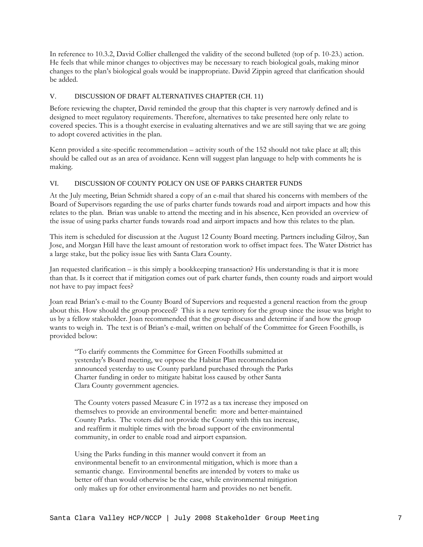In reference to 10.3.2, David Collier challenged the validity of the second bulleted (top of p. 10-23.) action. He feels that while minor changes to objectives may be necessary to reach biological goals, making minor changes to the plan's biological goals would be inappropriate. David Zippin agreed that clarification should be added.

## V. DISCUSSION OF DRAFT ALTERNATIVES CHAPTER (CH. 11)

Before reviewing the chapter, David reminded the group that this chapter is very narrowly defined and is designed to meet regulatory requirements. Therefore, alternatives to take presented here only relate to covered species. This is a thought exercise in evaluating alternatives and we are still saying that we are going to adopt covered activities in the plan.

Kenn provided a site-specific recommendation – activity south of the 152 should not take place at all; this should be called out as an area of avoidance. Kenn will suggest plan language to help with comments he is making.

# VI. DISCUSSION OF COUNTY POLICY ON USE OF PARKS CHARTER FUNDS

At the July meeting, Brian Schmidt shared a copy of an e-mail that shared his concerns with members of the Board of Supervisors regarding the use of parks charter funds towards road and airport impacts and how this relates to the plan. Brian was unable to attend the meeting and in his absence, Ken provided an overview of the issue of using parks charter funds towards road and airport impacts and how this relates to the plan.

This item is scheduled for discussion at the August 12 County Board meeting. Partners including Gilroy, San Jose, and Morgan Hill have the least amount of restoration work to offset impact fees. The Water District has a large stake, but the policy issue lies with Santa Clara County.

Jan requested clarification – is this simply a bookkeeping transaction? His understanding is that it is more than that. Is it correct that if mitigation comes out of park charter funds, then county roads and airport would not have to pay impact fees?

Joan read Brian's e-mail to the County Board of Superviors and requested a general reaction from the group about this. How should the group proceed? This is a new territory for the group since the issue was bright to us by a fellow stakeholder. Joan recommended that the group discuss and determine if and how the group wants to weigh in. The text is of Brian's e-mail, written on behalf of the Committee for Green Foothills, is provided below:

"To clarify comments the Committee for Green Foothills submitted at yesterday's Board meeting, we oppose the Habitat Plan recommendation announced yesterday to use County parkland purchased through the Parks Charter funding in order to mitigate habitat loss caused by other Santa Clara County government agencies.

The County voters passed Measure C in 1972 as a tax increase they imposed on themselves to provide an environmental benefit: more and better-maintained County Parks. The voters did not provide the County with this tax increase, and reaffirm it multiple times with the broad support of the environmental community, in order to enable road and airport expansion.

Using the Parks funding in this manner would convert it from an environmental benefit to an environmental mitigation, which is more than a semantic change. Environmental benefits are intended by voters to make us better off than would otherwise be the case, while environmental mitigation only makes up for other environmental harm and provides no net benefit.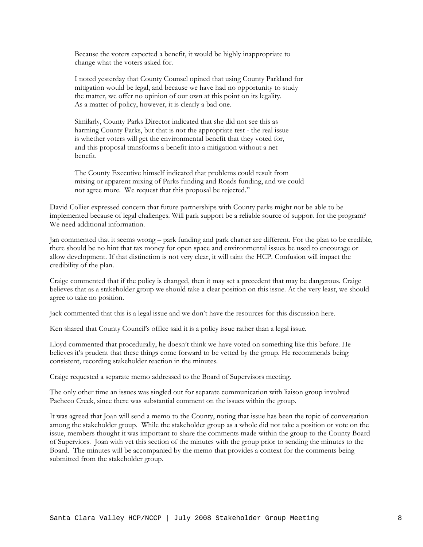Because the voters expected a benefit, it would be highly inappropriate to change what the voters asked for.

I noted yesterday that County Counsel opined that using County Parkland for mitigation would be legal, and because we have had no opportunity to study the matter, we offer no opinion of our own at this point on its legality. As a matter of policy, however, it is clearly a bad one.

Similarly, County Parks Director indicated that she did not see this as harming County Parks, but that is not the appropriate test - the real issue is whether voters will get the environmental benefit that they voted for, and this proposal transforms a benefit into a mitigation without a net benefit.

The County Executive himself indicated that problems could result from mixing or apparent mixing of Parks funding and Roads funding, and we could not agree more. We request that this proposal be rejected."

David Collier expressed concern that future partnerships with County parks might not be able to be implemented because of legal challenges. Will park support be a reliable source of support for the program? We need additional information.

Jan commented that it seems wrong – park funding and park charter are different. For the plan to be credible, there should be no hint that tax money for open space and environmental issues be used to encourage or allow development. If that distinction is not very clear, it will taint the HCP. Confusion will impact the credibility of the plan.

Craige commented that if the policy is changed, then it may set a precedent that may be dangerous. Craige believes that as a stakeholder group we should take a clear position on this issue. At the very least, we should agree to take no position.

Jack commented that this is a legal issue and we don't have the resources for this discussion here.

Ken shared that County Council's office said it is a policy issue rather than a legal issue.

Lloyd commented that procedurally, he doesn't think we have voted on something like this before. He believes it's prudent that these things come forward to be vetted by the group. He recommends being consistent, recording stakeholder reaction in the minutes.

Craige requested a separate memo addressed to the Board of Supervisors meeting.

The only other time an issues was singled out for separate communication with liaison group involved Pacheco Creek, since there was substantial comment on the issues within the group.

It was agreed that Joan will send a memo to the County, noting that issue has been the topic of conversation among the stakeholder group. While the stakeholder group as a whole did not take a position or vote on the issue, members thought it was important to share the comments made within the group to the County Board of Superviors. Joan with vet this section of the minutes with the group prior to sending the minutes to the Board. The minutes will be accompanied by the memo that provides a context for the comments being submitted from the stakeholder group.